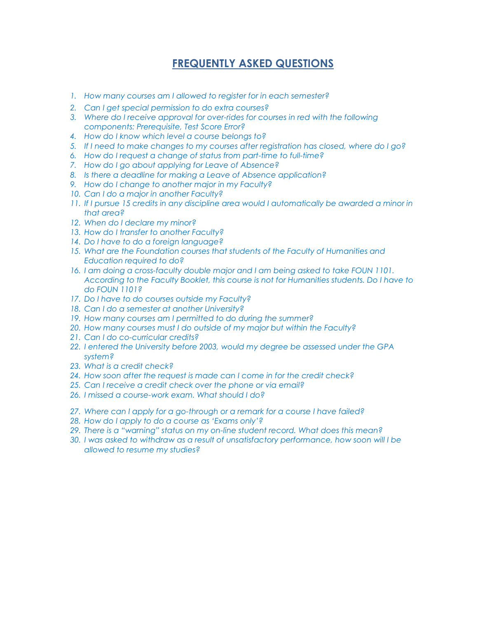# **FREQUENTLY ASKED QUESTIONS**

- *1. How many courses am I allowed to register for in each semester?*
- *2. Can I get special permission to do extra courses?*
- *3. Where do I receive approval for over-rides for courses in red with the following components: Prerequisite, Test Score Error?*
- *4. How do I know which level a course belongs to?*
- *5. If I need to make changes to my courses after registration has closed, where do I go?*
- *6. How do I request a change of status from part-time to full-time?*
- *7. How do I go about applying for Leave of Absence?*
- *8. Is there a deadline for making a Leave of Absence application?*
- *9. How do I change to another major in my Faculty?*
- *10. Can I do a major in another Faculty?*
- *11. If I pursue 15 credits in any discipline area would I automatically be awarded a minor in that area?*
- *12. When do I declare my minor?*
- *13. How do I transfer to another Faculty?*
- *14. Do I have to do a foreign language?*
- *15. What are the Foundation courses that students of the Faculty of Humanities and Education required to do?*
- *16. I am doing a cross-faculty double major and I am being asked to take FOUN 1101. According to the Faculty Booklet, this course is not for Humanities students. Do I have to do FOUN 1101?*
- *17. Do I have to do courses outside my Faculty?*
- *18. Can I do a semester at another University?*
- *19. How many courses am I permitted to do during the summer?*
- *20. How many courses must I do outside of my major but within the Faculty?*
- *21. Can I do co-curricular credits?*
- *22. I entered the University before 2003, would my degree be assessed under the GPA system?*
- *23. What is a credit check?*
- *24. How soon after the request is made can I come in for the credit check?*
- *25. Can I receive a credit check over the phone or via email?*
- *26. I missed a course-work exam. What should I do?*
- *27. Where can I apply for a go-through or a remark for a course I have failed?*
- *28. How do I apply to do a course as "Exams only"?*
- *29. There is a "warning" status on my on-line student record. What does this mean?*
- *30. I was asked to withdraw as a result of unsatisfactory performance, how soon will I be allowed to resume my studies?*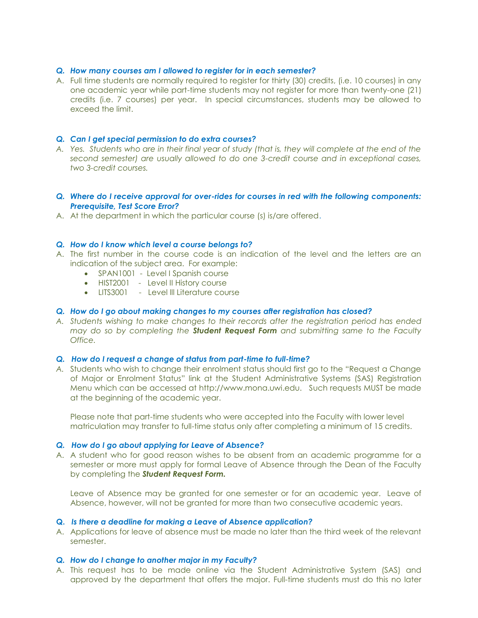## *Q. How many courses am I allowed to register for in each semester?*

A. Full time students are normally required to register for thirty (30) credits, (i.e. 10 courses) in any one academic year while part-time students may not register for more than twenty-one (21) credits (i.e. 7 courses) per year. In special circumstances, students may be allowed to exceed the limit.

## *Q. Can I get special permission to do extra courses?*

*A. Yes. Students who are in their final year of study (that is, they will complete at the end of the second semester) are usually allowed to do one 3-credit course and in exceptional cases, two 3-credit courses.*

## *Q. Where do I receive approval for over-rides for courses in red with the following components: Prerequisite, Test Score Error?*

A. At the department in which the particular course (s) is/are offered.

## *Q. How do I know which level a course belongs to?*

- A. The first number in the course code is an indication of the level and the letters are an indication of the subject area. For example:
	- SPAN1001 Level I Spanish course
	- HIST2001 Level II History course
	- LITS3001 Level III Literature course

#### *Q. How do I go about making changes to my courses after registration has closed?*

*A. Students wishing to make changes to their records after the registration period has ended may do so by completing the Student Request Form and submitting same to the Faculty Office.* 

## *Q. How do I request a change of status from part-time to full-time?*

*A.* Students who wish to change their enrolment status should first go to the "Request a Change of Major or Enrolment Status" link at the Student Administrative Systems (SAS) Registration Menu which can be accessed at http://www.mona.uwi.edu. Such requests MUST be made at the beginning of the academic year.

Please note that part-time students who were accepted into the Faculty with lower level matriculation may transfer to full-time status only after completing a minimum of 15 credits.

#### *Q. How do I go about applying for Leave of Absence?*

A. A student who for good reason wishes to be absent from an academic programme for a semester or more must apply for formal Leave of Absence through the Dean of the Faculty by completing the *Student Request Form.*

Leave of Absence may be granted for one semester or for an academic year. Leave of Absence, however, will not be granted for more than two consecutive academic years.

#### **Q.** *Is there a deadline for making a Leave of Absence application?*

A. Applications for leave of absence must be made no later than the third week of the relevant semester.

#### *Q. How do I change to another major in my Faculty?*

A. This request has to be made online via the Student Administrative System (SAS) and approved by the department that offers the major. Full-time students must do this no later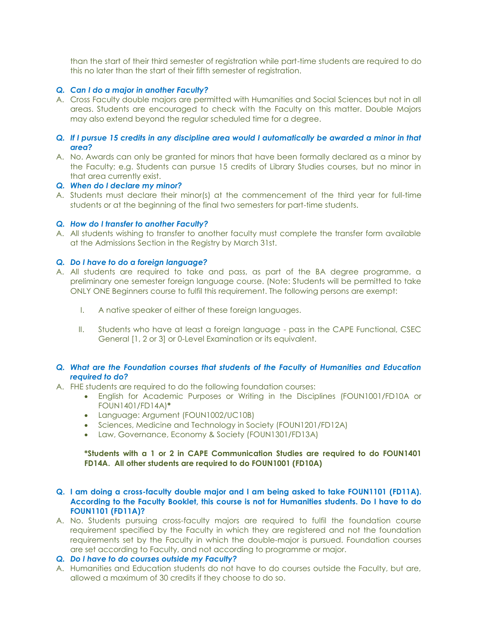than the start of their third semester of registration while part-time students are required to do this no later than the start of their fifth semester of registration.

## *Q. Can I do a major in another Faculty?*

A. Cross Faculty double majors are permitted with Humanities and Social Sciences but not in all areas. Students are encouraged to check with the Faculty on this matter. Double Majors may also extend beyond the regular scheduled time for a degree.

## *Q. If I pursue 15 credits in any discipline area would I automatically be awarded a minor in that area?*

A. No. Awards can only be granted for minors that have been formally declared as a minor by the Faculty; e.g. Students can pursue 15 credits of Library Studies courses, but no minor in that area currently exist.

#### *Q. When do I declare my minor?*

A. Students must declare their minor(s) at the commencement of the third year for full-time students or at the beginning of the final two semesters for part-time students.

#### *Q. How do I transfer to another Faculty?*

A. All students wishing to transfer to another faculty must complete the transfer form available at the Admissions Section in the Registry by March 31st.

## *Q. Do I have to do a foreign language?*

- A. All students are required to take and pass, as part of the BA degree programme, a preliminary one semester foreign language course. (Note: Students will be permitted to take ONLY ONE Beginners course to fulfil this requirement. The following persons are exempt:
	- I. A native speaker of either of these foreign languages.
	- II. Students who have at least a foreign language pass in the CAPE Functional, CSEC General [1, 2 or 3] or 0-Level Examination or its equivalent.

## *Q. What are the Foundation courses that students of the Faculty of Humanities and Education required to do?*

- A. FHE students are required to do the following foundation courses:
	- English for Academic Purposes or Writing in the Disciplines (FOUN1001/FD10A or FOUN1401/FD14A)**\***
	- Language: Argument (FOUN1002/UC10B)
	- Sciences, Medicine and Technology in Society (FOUN1201/FD12A)
	- Law, Governance, Economy & Society (FOUN1301/FD13A)

## **\*Students with a 1 or 2 in CAPE Communication Studies are required to do FOUN1401 FD14A. All other students are required to do FOUN1001 (FD10A)**

- **Q. I am doing a cross-faculty double major and I am being asked to take FOUN1101 (FD11A). According to the Faculty Booklet, this course is not for Humanities students. Do I have to do FOUN1101 (FD11A)?**
- A. No. Students pursuing cross-faculty majors are required to fulfil the foundation course requirement specified by the Faculty in which they are registered and not the foundation requirements set by the Faculty in which the double-major is pursued. Foundation courses are set according to Faculty, and not according to programme or major.
- *Q. Do I have to do courses outside my Faculty?*
- A. Humanities and Education students do not have to do courses outside the Faculty, but are, allowed a maximum of 30 credits if they choose to do so.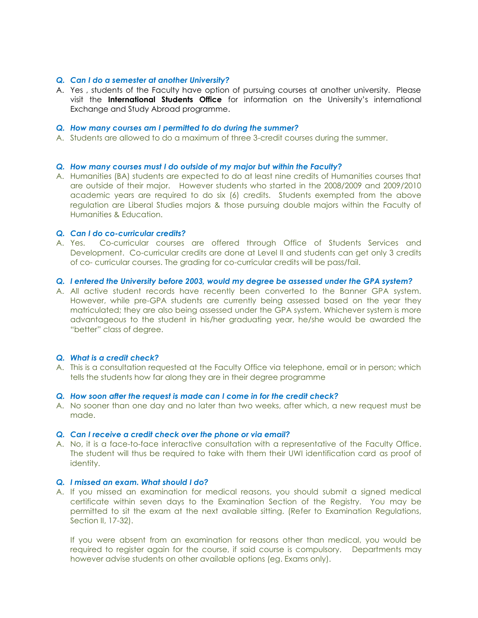#### *Q. Can I do a semester at another University?*

A. Yes , students of the Faculty have option of pursuing courses at another university. Please visit the **International Students Office** for information on the University"s international Exchange and Study Abroad programme.

## *Q. How many courses am I permitted to do during the summer?*

A. Students are allowed to do a maximum of three 3-credit courses during the summer.

#### *Q. How many courses must I do outside of my major but within the Faculty?*

A. Humanities (BA) students are expected to do at least nine credits of Humanities courses that are outside of their major. However students who started in the 2008/2009 and 2009/2010 academic years are required to do six (6) credits. Students exempted from the above regulation are Liberal Studies majors & those pursuing double majors within the Faculty of Humanities & Education.

### *Q. Can I do co-curricular credits?*

A. Yes. Co-curricular courses are offered through Office of Students Services and Development. Co-curricular credits are done at Level II and students can get only 3 credits of co- curricular courses. The grading for co-curricular credits will be pass/fail.

#### *Q. I entered the University before 2003, would my degree be assessed under the GPA system?*

A. All active student records have recently been converted to the Banner GPA system. However, while pre-GPA students are currently being assessed based on the year they matriculated; they are also being assessed under the GPA system. Whichever system is more advantageous to the student in his/her graduating year, he/she would be awarded the "better" class of degree.

## *Q. What is a credit check?*

A. This is a consultation requested at the Faculty Office via telephone, email or in person; which tells the students how far along they are in their degree programme

# *Q. How soon after the request is made can I come in for the credit check?*

A. No sooner than one day and no later than two weeks, after which, a new request must be made.

#### *Q. Can I receive a credit check over the phone or via email?*

A. No, it is a face-to-face interactive consultation with a representative of the Faculty Office. The student will thus be required to take with them their UWI identification card as proof of identity.

## *Q. I missed an exam. What should I do?*

A. If you missed an examination for medical reasons, you should submit a signed medical certificate within seven days to the Examination Section of the Registry. You may be permitted to sit the exam at the next available sitting. (Refer to Examination Regulations, Section II, 17-32).

If you were absent from an examination for reasons other than medical, you would be required to register again for the course, if said course is compulsory. Departments may however advise students on other available options (eg. Exams only).